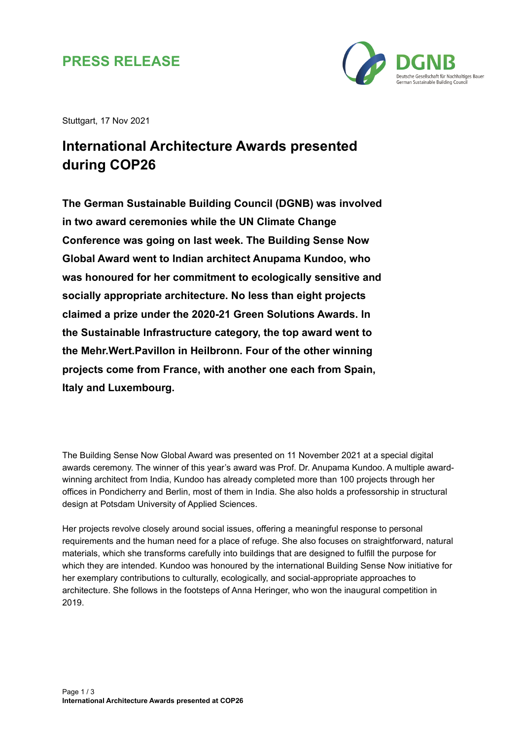## **PRESS RELEASE**



Stuttgart, 17 Nov 2021

## **International Architecture Awards presented during COP26**

**The German Sustainable Building Council (DGNB) was involved in two award ceremonies while the UN Climate Change Conference was going on last week. The Building Sense Now Global Award went to Indian architect Anupama Kundoo, who was honoured for her commitment to ecologically sensitive and socially appropriate architecture. No less than eight projects claimed a prize under the 2020-21 Green Solutions Awards. In the Sustainable Infrastructure category, the top award went to the Mehr.Wert.Pavillon in Heilbronn. Four of the other winning projects come from France, with another one each from Spain, Italy and Luxembourg.**

The Building Sense Now Global Award was presented on 11 November 2021 at a special digital awards ceremony. The winner of this year's award was Prof. Dr. Anupama Kundoo. A multiple awardwinning architect from India, Kundoo has already completed more than 100 projects through her offices in Pondicherry and Berlin, most of them in India. She also holds a professorship in structural design at Potsdam University of Applied Sciences.

Her projects revolve closely around social issues, offering a meaningful response to personal requirements and the human need for a place of refuge. She also focuses on straightforward, natural materials, which she transforms carefully into buildings that are designed to fulfill the purpose for which they are intended. Kundoo was honoured by the international Building Sense Now initiative for her exemplary contributions to culturally, ecologically, and social-appropriate approaches to architecture. She follows in the footsteps of Anna Heringer, who won the inaugural competition in 2019.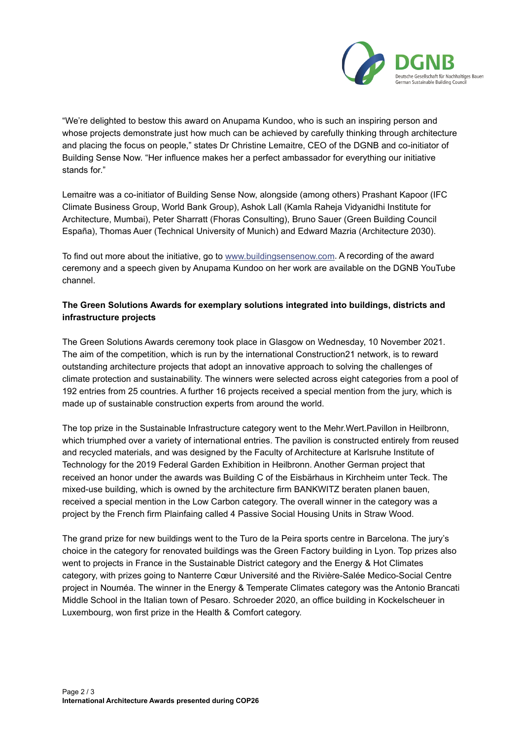

"We're delighted to bestow this award on Anupama Kundoo, who is such an inspiring person and whose projects demonstrate just how much can be achieved by carefully thinking through architecture and placing the focus on people," states Dr Christine Lemaitre, CEO of the DGNB and co-initiator of Building Sense Now. "Her influence makes her a perfect ambassador for everything our initiative stands for."

Lemaitre was a co-initiator of Building Sense Now, alongside (among others) Prashant Kapoor (IFC Climate Business Group, World Bank Group), Ashok Lall (Kamla Raheja Vidyanidhi Institute for Architecture, Mumbai), Peter Sharratt (Fhoras Consulting), Bruno Sauer (Green Building Council España), Thomas Auer (Technical University of Munich) and Edward Mazria (Architecture 2030).

To find out more about the initiative, go to [www.buildingsensenow.com.](http://www.buildingsensenow.com/) A recording of the award ceremony and a speech given by Anupama Kundoo on her work are available on the DGNB YouTube channel.

## **The Green Solutions Awards for exemplary solutions integrated into buildings, districts and infrastructure projects**

The Green Solutions Awards ceremony took place in Glasgow on Wednesday, 10 November 2021. The aim of the competition, which is run by the international Construction21 network, is to reward outstanding architecture projects that adopt an innovative approach to solving the challenges of climate protection and sustainability. The winners were selected across eight categories from a pool of 192 entries from 25 countries. A further 16 projects received a special mention from the jury, which is made up of sustainable construction experts from around the world.

The top prize in the Sustainable Infrastructure category went to the Mehr.Wert.Pavillon in Heilbronn, which triumphed over a variety of international entries. The pavilion is constructed entirely from reused and recycled materials, and was designed by the Faculty of Architecture at Karlsruhe Institute of Technology for the 2019 Federal Garden Exhibition in Heilbronn. Another German project that received an honor under the awards was Building C of the Eisbärhaus in Kirchheim unter Teck. The mixed-use building, which is owned by the architecture firm BANKWITZ beraten planen bauen, received a special mention in the Low Carbon category. The overall winner in the category was a project by the French firm Plainfaing called 4 Passive Social Housing Units in Straw Wood.

The grand prize for new buildings went to the Turo de la Peira sports centre in Barcelona. The jury's choice in the category for renovated buildings was the Green Factory building in Lyon. Top prizes also went to projects in France in the Sustainable District category and the Energy & Hot Climates category, with prizes going to Nanterre Cœur Université and the Rivière-Salée Medico-Social Centre project in Nouméa. The winner in the Energy & Temperate Climates category was the Antonio Brancati Middle School in the Italian town of Pesaro. Schroeder 2020, an office building in Kockelscheuer in Luxembourg, won first prize in the Health & Comfort category.